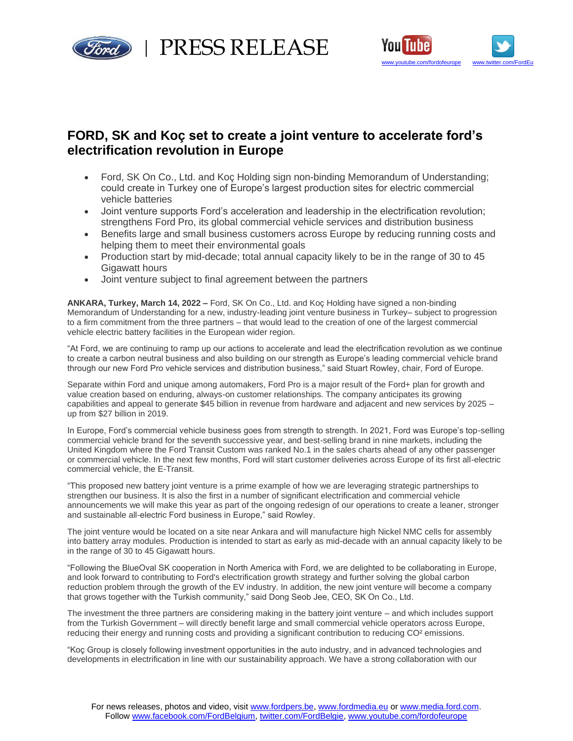

PRESS RELEASE



# **FORD, SK and Koç set to create a joint venture to accelerate ford's electrification revolution in Europe**

- Ford, SK On Co., Ltd. and Koç Holding sign non-binding Memorandum of Understanding; could create in Turkey one of Europe's largest production sites for electric commercial vehicle batteries
- Joint venture supports Ford's acceleration and leadership in the electrification revolution; strengthens Ford Pro, its global commercial vehicle services and distribution business
- Benefits large and small business customers across Europe by reducing running costs and helping them to meet their environmental goals
- Production start by mid-decade; total annual capacity likely to be in the range of 30 to 45 Gigawatt hours
- Joint venture subject to final agreement between the partners

**ANKARA, Turkey, March 14, 2022 –** Ford, SK On Co., Ltd. and Koç Holding have signed a non-binding Memorandum of Understanding for a new, industry-leading joint venture business in Turkey– subject to progression to a firm commitment from the three partners – that would lead to the creation of one of the largest commercial vehicle electric battery facilities in the European wider region.

"At Ford, we are continuing to ramp up our actions to accelerate and lead the electrification revolution as we continue to create a carbon neutral business and also building on our strength as Europe's leading commercial vehicle brand through our new Ford Pro vehicle services and distribution business," said Stuart Rowley, chair, Ford of Europe.

Separate within Ford and unique among automakers, Ford Pro is a major result of the Ford+ plan for growth and value creation based on enduring, always-on customer relationships. The company anticipates its growing capabilities and appeal to generate \$45 billion in revenue from hardware and adjacent and new services by 2025 – up from \$27 billion in 2019.

In Europe, Ford's commercial vehicle business goes from strength to strength. In 2021, Ford was Europe's top-selling commercial vehicle brand for the seventh successive year, and best-selling brand in nine markets, including the United Kingdom where the Ford Transit Custom was ranked No.1 in the sales charts ahead of any other passenger or commercial vehicle. In the next few months, Ford will start customer deliveries across Europe of its first all-electric commercial vehicle, the E-Transit.

"This proposed new battery joint venture is a prime example of how we are leveraging strategic partnerships to strengthen our business. It is also the first in a number of significant electrification and commercial vehicle announcements we will make this year as part of the ongoing redesign of our operations to create a leaner, stronger and sustainable all-electric Ford business in Europe," said Rowley.

The joint venture would be located on a site near Ankara and will manufacture high Nickel NMC cells for assembly into battery array modules. Production is intended to start as early as mid-decade with an annual capacity likely to be in the range of 30 to 45 Gigawatt hours.

"Following the BlueOval SK cooperation in North America with Ford, we are delighted to be collaborating in Europe, and look forward to contributing to Ford's electrification growth strategy and further solving the global carbon reduction problem through the growth of the EV industry. In addition, the new joint venture will become a company that grows together with the Turkish community," said Dong Seob Jee, CEO, SK On Co., Ltd.

The investment the three partners are considering making in the battery joint venture – and which includes support from the Turkish Government – will directly benefit large and small commercial vehicle operators across Europe, reducing their energy and running costs and providing a significant contribution to reducing CO² emissions.

"Koç Group is closely following investment opportunities in the auto industry, and in advanced technologies and developments in electrification in line with our sustainability approach. We have a strong collaboration with our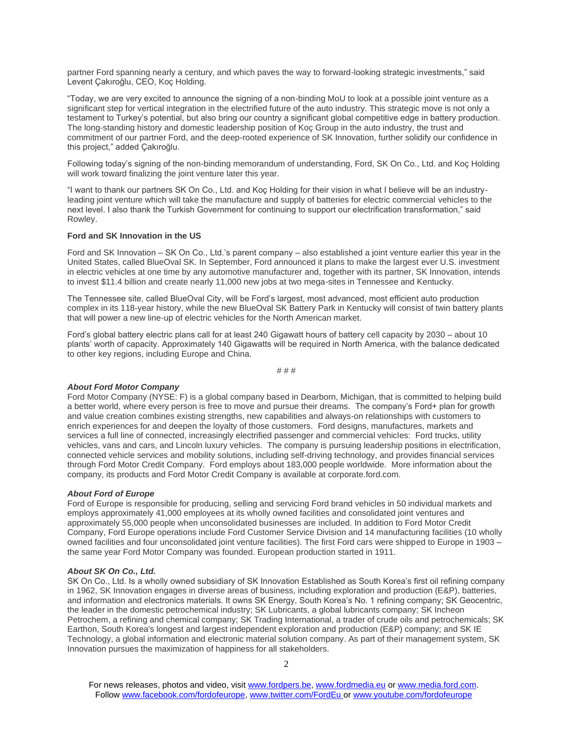partner Ford spanning nearly a century, and which paves the way to forward-looking strategic investments," said Levent Çakıroğlu, CEO, Koç Holding.

"Today, we are very excited to announce the signing of a non-binding MoU to look at a possible joint venture as a significant step for vertical integration in the electrified future of the auto industry. This strategic move is not only a testament to Turkey's potential, but also bring our country a significant global competitive edge in battery production. The long-standing history and domestic leadership position of Koç Group in the auto industry, the trust and commitment of our partner Ford, and the deep-rooted experience of SK Innovation, further solidify our confidence in this project," added Çakıroğlu.

Following today's signing of the non-binding memorandum of understanding, Ford, SK On Co., Ltd. and Koç Holding will work toward finalizing the joint venture later this year.

"I want to thank our partners SK On Co., Ltd. and Koç Holding for their vision in what I believe will be an industryleading joint venture which will take the manufacture and supply of batteries for electric commercial vehicles to the next level. I also thank the Turkish Government for continuing to support our electrification transformation," said Rowley.

#### **Ford and SK Innovation in the US**

Ford and SK Innovation – SK On Co., Ltd.'s parent company – also established a joint venture earlier this year in the United States, called BlueOval SK. In September, Ford announced it plans to make the largest ever U.S. investment in electric vehicles at one time by any automotive manufacturer and, together with its partner, SK Innovation, intends to invest \$11.4 billion and create nearly 11,000 new jobs at two mega-sites in Tennessee and Kentucky.

The Tennessee site, called BlueOval City, will be Ford's largest, most advanced, most efficient auto production complex in its 118-year history, while the new BlueOval SK Battery Park in Kentucky will consist of twin battery plants that will power a new line-up of electric vehicles for the North American market.

Ford's global battery electric plans call for at least 240 Gigawatt hours of battery cell capacity by 2030 – about 10 plants' worth of capacity. Approximately 140 Gigawatts will be required in North America, with the balance dedicated to other key regions, including Europe and China.

# # #

#### *About Ford Motor Company*

Ford Motor Company (NYSE: F) is a global company based in Dearborn, Michigan, that is committed to helping build a better world, where every person is free to move and pursue their dreams. The company's Ford+ plan for growth and value creation combines existing strengths, new capabilities and always-on relationships with customers to enrich experiences for and deepen the loyalty of those customers. Ford designs, manufactures, markets and services a full line of connected, increasingly electrified passenger and commercial vehicles: Ford trucks, utility vehicles, vans and cars, and Lincoln luxury vehicles. The company is pursuing leadership positions in electrification, connected vehicle services and mobility solutions, including self-driving technology, and provides financial services through Ford Motor Credit Company. Ford employs about 183,000 people worldwide. More information about the company, its products and Ford Motor Credit Company is available at corporate.ford.com.

#### *About Ford of Europe*

Ford of Europe is responsible for producing, selling and servicing Ford brand vehicles in 50 individual markets and employs approximately 41,000 employees at its wholly owned facilities and consolidated joint ventures and approximately 55,000 people when unconsolidated businesses are included. In addition to Ford Motor Credit Company, Ford Europe operations include Ford Customer Service Division and 14 manufacturing facilities (10 wholly owned facilities and four unconsolidated joint venture facilities). The first Ford cars were shipped to Europe in 1903 – the same year Ford Motor Company was founded. European production started in 1911.

#### *About SK On Co., Ltd.*

SK On Co., Ltd. Is a wholly owned subsidiary of SK Innovation Established as South Korea's first oil refining company in 1962, SK Innovation engages in diverse areas of business, including exploration and production (E&P), batteries, and information and electronics materials. It owns SK Energy, South Korea's No. 1 refining company; SK Geocentric, the leader in the domestic petrochemical industry; SK Lubricants, a global lubricants company; SK Incheon Petrochem, a refining and chemical company; SK Trading International, a trader of crude oils and petrochemicals; SK Earthon, South Korea's longest and largest independent exploration and production (E&P) company; and SK IE Technology, a global information and electronic material solution company. As part of their management system, SK Innovation pursues the maximization of happiness for all stakeholders.

For news releases, photos and video, visit [www.fordpers.be,](http://www.fordpers.be/) [www.fordmedia.eu](http://www.fordmedia.eu/) or [www.media.ford.com.](http://www.media.ford.com/) Follo[w www.facebook.com/fordofeurope,](http://www.facebook.com/fordofeurope) [www.twitter.com/FordEu](http://www.twitter.com/FordEu) o[r www.youtube.com/fordofeurope](http://www.youtube.com/fordofeurope)